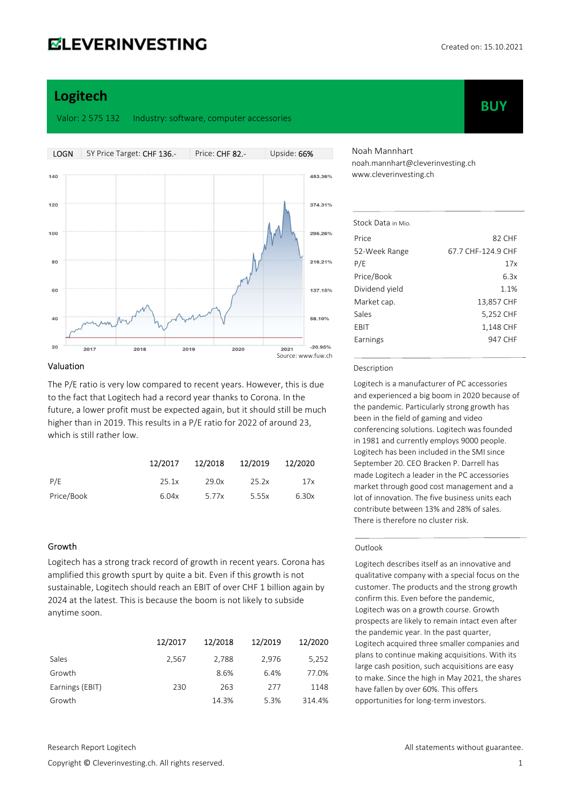## **ELEVERINVESTING**

**BUY** 

## Logitech

#### Valor: 2 575 132 Industry: software, computer accessories



#### Valuation

The P/E ratio is very low compared to recent years. However, this is due to the fact that Logitech had a record year thanks to Corona. In the future, a lower profit must be expected again, but it should still be much higher than in 2019. This results in a P/E ratio for 2022 of around 23, which is still rather low.

|            | 12/2017 |       | 12/2018 12/2019 | 12/2020 |
|------------|---------|-------|-----------------|---------|
| P/E        | 25.1x   | 29.0x | 25.2x           | 17x     |
| Price/Book | 6.04x   | 5.77x | 5.55x           | 6.30x   |

#### Growth

Logitech has a strong track record of growth in recent years. Corona has amplified this growth spurt by quite a bit. Even if this growth is not sustainable, Logitech should reach an EBIT of over CHF 1 billion again by 2024 at the latest. This is because the boom is not likely to subside anytime soon.

|                 | 12/2017 | 12/2018 | 12/2019 | 12/2020 |
|-----------------|---------|---------|---------|---------|
| Sales           | 2.567   | 2.788   | 2,976   | 5,252   |
| Growth          |         | 8.6%    | 6.4%    | 77.0%   |
| Earnings (EBIT) | 230     | 263     | 277     | 1148    |
| Growth          |         | 14.3%   | 5.3%    | 314.4%  |

noah.mannhart@cleverinvesting.ch www.cleverinvesting.ch

Noah Mannhart

| Stock Data in Mio |                    |
|-------------------|--------------------|
| Price             | 82 CHF             |
| 52-Week Range     | 67.7 CHF-124.9 CHF |
| P/E               | 17x                |
| Price/Book        | 6.3x               |
| Dividend yield    | 1.1%               |
| Market cap.       | 13,857 CHF         |
| Sales             | 5,252 CHF          |
| EBIT              | 1,148 CHF          |
| Earnings          | 947 CHF            |
|                   |                    |

#### Description

Logitech is a manufacturer of PC accessories and experienced a big boom in 2020 because of the pandemic. Particularly strong growth has been in the field of gaming and video conferencing solutions. Logitech was founded in 1981 and currently employs 9000 people. Logitech has been included in the SMI since September 20. CEO Bracken P. Darrell has made Logitech a leader in the PC accessories market through good cost management and a lot of innovation. The five business units each contribute between 13% and 28% of sales. There is therefore no cluster risk.

#### Outlook

Logitech describes itself as an innovative and qualitative company with a special focus on the customer. The products and the strong growth confirm this. Even before the pandemic, Logitech was on a growth course. Growth prospects are likely to remain intact even after the pandemic year. In the past quarter, Logitech acquired three smaller companies and plans to continue making acquisitions. With its large cash position, such acquisitions are easy to make. Since the high in May 2021, the shares have fallen by over 60%. This offers opportunities for long-term investors.

Research Report Logitech All statements without guarantee.

Copyright © Cleverinvesting.ch. All rights reserved. 1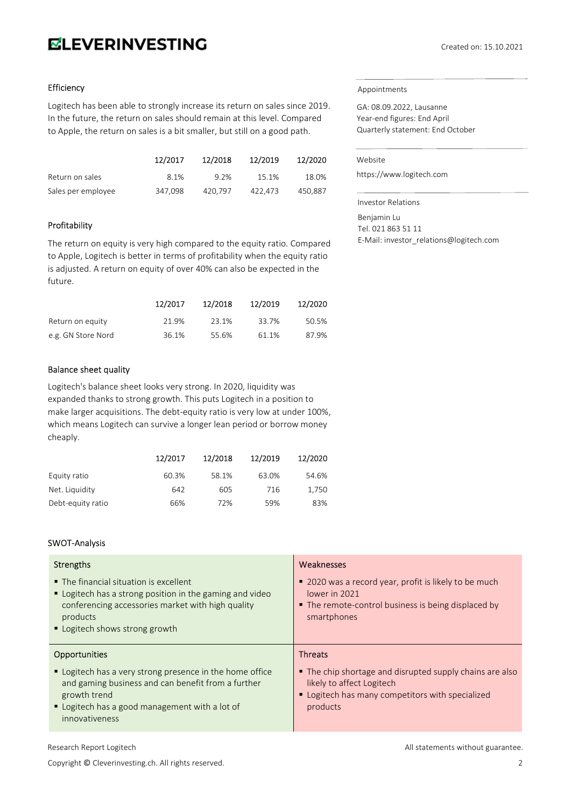# **ELEVERINVESTING**

### Efficiency

Logitech has been able to strongly increase its return on sales since 2019. In the future, the return on sales should remain at this level. Compared to Apple, the return on sales is a bit smaller, but still on a good path.

|                    | 12/2017 | 12/2018 | 12/2019 | 12/2020 |
|--------------------|---------|---------|---------|---------|
| Return on sales    | 8.1%    | 9.2%    | 15.1%   | 18.0%   |
| Sales per employee | 347.098 | 420.797 | 422.473 | 450.887 |

### Profitability

The return on equity is very high compared to the equity ratio. Compared to Apple, Logitech is better in terms of profitability when the equity ratio is adjusted. A return on equity of over 40% can also be expected in the future.

|                    | 12/2017 | 12/2018 | 12/2019 | 12/2020 |
|--------------------|---------|---------|---------|---------|
| Return on equity   | 21.9%   | 23.1%   | 33.7%   | 50.5%   |
| e.g. GN Store Nord | 36.1%   | 55.6%   | 61.1%   | 87.9%   |

### Balance sheet quality

Logitech's balance sheet looks very strong. In 2020, liquidity was expanded thanks to strong growth. This puts Logitech in a position to make larger acquisitions. The debt-equity ratio is very low at under 100%, which means Logitech can survive a longer lean period or borrow money cheaply.

|                   | 12/2017 | 12/2018 | 12/2019 | 12/2020 |
|-------------------|---------|---------|---------|---------|
| Equity ratio      | 60.3%   | 58.1%   | 63.0%   | 54.6%   |
| Net. Liquidity    | 642     | 605     | 716     | 1.750   |
| Debt-equity ratio | 66%     | 72%     | 59%     | 83%     |

## SWOT-Analysis

| Strengths                                                                                                                                                                                             | Weaknesses                                                                                                                                   |
|-------------------------------------------------------------------------------------------------------------------------------------------------------------------------------------------------------|----------------------------------------------------------------------------------------------------------------------------------------------|
| • The financial situation is excellent<br>• Logitech has a strong position in the gaming and video<br>conferencing accessories market with high quality<br>products<br>• Logitech shows strong growth | • 2020 was a record year, profit is likely to be much<br>lower in 2021<br>• The remote-control business is being displaced by<br>smartphones |
| <b>Opportunities</b>                                                                                                                                                                                  |                                                                                                                                              |
|                                                                                                                                                                                                       | <b>Threats</b>                                                                                                                               |

## Appointments

GA: 08.09.2022, Lausanne Year-end figures: End April Quarterly statement: End October

#### Website

https://www.logitech.com

Investor Relations Benjamin Lu Tel. 021 863 51 11 E-Mail: investor\_relations@logitech.com